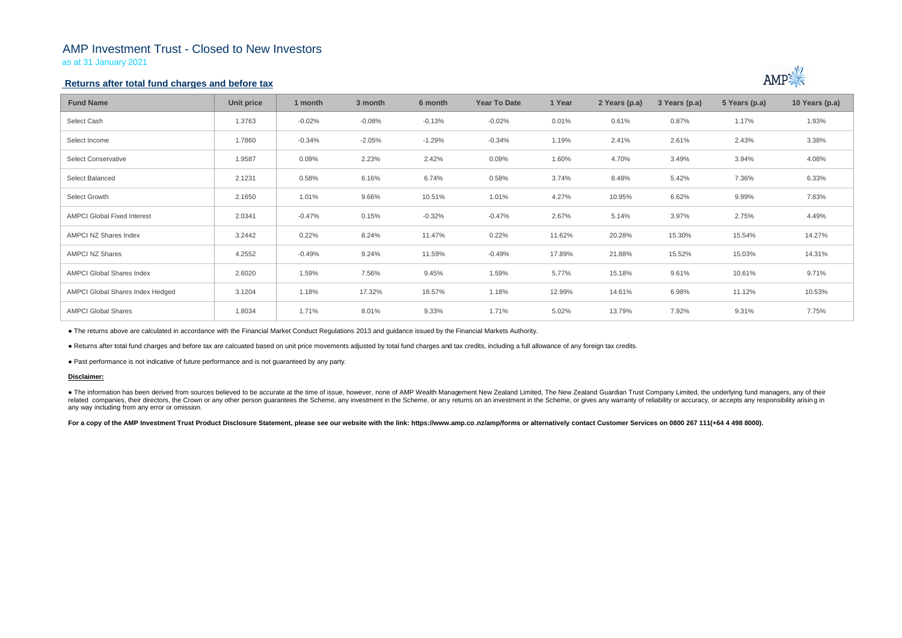## AMP Investment Trust - Closed to New Investors

as at 31 January 2021

## **Returns after total fund charges and before tax**

| <b>Fund Name</b>                   | <b>Unit price</b> | 1 month  | 3 month  | 6 month  | <b>Year To Date</b> | 1 Year | 2 Years (p.a) | 3 Years (p.a) | 5 Years (p.a) | 10 Years (p.a) |
|------------------------------------|-------------------|----------|----------|----------|---------------------|--------|---------------|---------------|---------------|----------------|
| Select Cash                        | 1.3763            | $-0.02%$ | $-0.08%$ | $-0.13%$ | $-0.02%$            | 0.01%  | 0.61%         | 0.87%         | 1.17%         | 1.93%          |
| Select Income                      | 1.7860            | $-0.34%$ | $-2.05%$ | $-1.29%$ | $-0.34%$            | 1.19%  | 2.41%         | 2.61%         | 2.43%         | 3.38%          |
| <b>Select Conservative</b>         | 1.9587            | 0.09%    | 2.23%    | 2.42%    | 0.09%               | 1.60%  | 4.70%         | 3.49%         | 3.94%         | 4.08%          |
| Select Balanced                    | 2.1231            | 0.58%    | 6.16%    | 6.74%    | 0.58%               | 3.74%  | 8.48%         | 5.42%         | 7.36%         | 6.33%          |
| Select Growth                      | 2.1650            | 1.01%    | 9.66%    | 10.51%   | 1.01%               | 4.27%  | 10.95%        | 6.62%         | 9.99%         | 7.83%          |
| <b>AMPCI Global Fixed Interest</b> | 2.0341            | $-0.47%$ | 0.15%    | $-0.32%$ | $-0.47%$            | 2.67%  | 5.14%         | 3.97%         | 2.75%         | 4.49%          |
| AMPCI NZ Shares Index              | 3.2442            | 0.22%    | 8.24%    | 11.47%   | 0.22%               | 11.62% | 20.28%        | 15.30%        | 15.54%        | 14.27%         |
| <b>AMPCI NZ Shares</b>             | 4.2552            | $-0.49%$ | 9.24%    | 11.59%   | $-0.49%$            | 17.89% | 21.88%        | 15.52%        | 15.03%        | 14.31%         |
| <b>AMPCI Global Shares Index</b>   | 2.6020            | 1.59%    | 7.56%    | 9.45%    | 1.59%               | 5.77%  | 15.18%        | 9.61%         | 10.61%        | 9.71%          |
| AMPCI Global Shares Index Hedged   | 3.1204            | 1.18%    | 17.32%   | 18.57%   | 1.18%               | 12.99% | 14.61%        | 6.98%         | 11.12%        | 10.53%         |
| <b>AMPCI Global Shares</b>         | 1.8034            | 1.71%    | 8.01%    | 9.33%    | 1.71%               | 5.02%  | 13.79%        | 7.92%         | 9.31%         | 7.75%          |

• The information has been derived from sources believed to be accurate at the time of issue, however, none of AMP Wealth Management New Zealand Limited, The New Zealand Guardian Trust Company Limited, the underlying fund related companies, their directors, the Crown or any other person quarantees the Scheme, any investment in the Scheme, or any returns on an investment in the Scheme, or gives any warranty of reliability or accuracy, or acc any way including from any error or omission.

For a copy of the AMP Investment Trust Product Disclosure Statement, please see our website with the link: https://www.amp.co.nz/amp/forms or alternatively contact Customer Services on 0800 267 111(+64 4 498 8000).



● The returns above are calculated in accordance with the Financial Market Conduct Regulations 2013 and guidance issued by the Financial Markets Authority.

● Returns after total fund charges and before tax are calcuated based on unit price movements adjusted by total fund charges and tax credits, including a full allowance of any foreign tax credits.

● Past performance is not indicative of future performance and is not guaranteed by any party.

### **Disclaimer:**